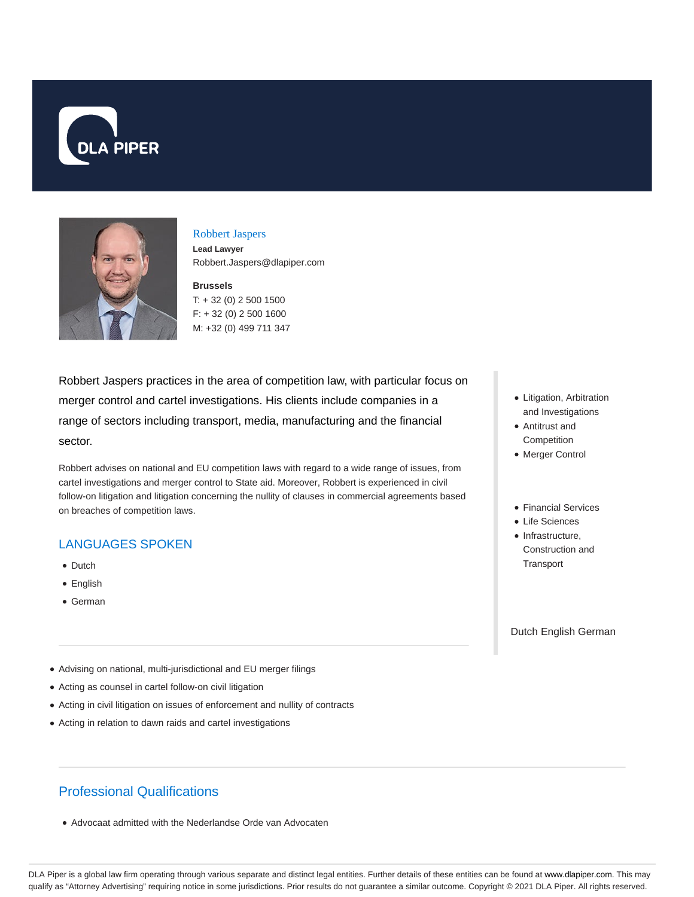



# Robbert Jaspers

**Lead Lawyer** Robbert.Jaspers@dlapiper.com

#### **Brussels**

T: + 32 (0) 2 500 1500 F: + 32 (0) 2 500 1600 M: +32 (0) 499 711 347

Robbert Jaspers practices in the area of competition law, with particular focus on merger control and cartel investigations. His clients include companies in a range of sectors including transport, media, manufacturing and the financial sector.

Robbert advises on national and EU competition laws with regard to a wide range of issues, from cartel investigations and merger control to State aid. Moreover, Robbert is experienced in civil follow-on litigation and litigation concerning the nullity of clauses in commercial agreements based on breaches of competition laws.

## LANGUAGES SPOKEN

- Dutch
- English
- German
- Litigation, Arbitration and Investigations
- Antitrust and **Competition**
- Merger Control
- Financial Services
- Life Sciences
- $\bullet$  Infrastructure, Construction and **Transport**

Dutch English German

- Advising on national, multi-jurisdictional and EU merger filings
- Acting as counsel in cartel follow-on civil litigation
- Acting in civil litigation on issues of enforcement and nullity of contracts
- Acting in relation to dawn raids and cartel investigations

# Professional Qualifications

Advocaat admitted with the Nederlandse Orde van Advocaten

DLA Piper is a global law firm operating through various separate and distinct legal entities. Further details of these entities can be found at www.dlapiper.com. This may qualify as "Attorney Advertising" requiring notice in some jurisdictions. Prior results do not guarantee a similar outcome. Copyright © 2021 DLA Piper. All rights reserved.